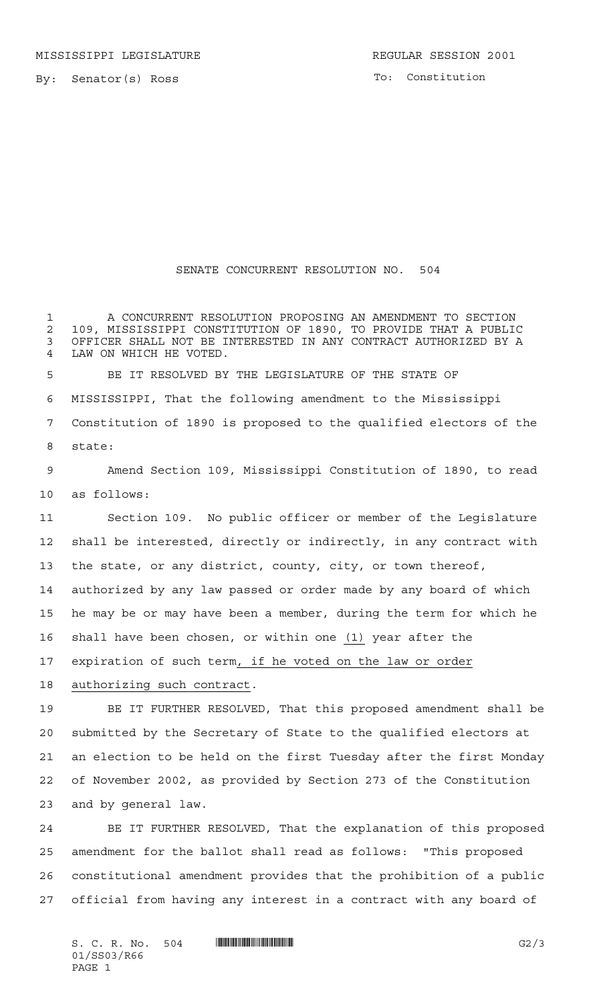By: Senator(s) Ross

## SENATE CONCURRENT RESOLUTION NO. 504

 A CONCURRENT RESOLUTION PROPOSING AN AMENDMENT TO SECTION 109, MISSISSIPPI CONSTITUTION OF 1890, TO PROVIDE THAT A PUBLIC OFFICER SHALL NOT BE INTERESTED IN ANY CONTRACT AUTHORIZED BY A LAW ON WHICH HE VOTED.

 BE IT RESOLVED BY THE LEGISLATURE OF THE STATE OF MISSISSIPPI, That the following amendment to the Mississippi Constitution of 1890 is proposed to the qualified electors of the state:

 Amend Section 109, Mississippi Constitution of 1890, to read as follows:

 Section 109. No public officer or member of the Legislature shall be interested, directly or indirectly, in any contract with the state, or any district, county, city, or town thereof, authorized by any law passed or order made by any board of which he may be or may have been a member, during the term for which he shall have been chosen, or within one (1) year after the 17 expiration of such term, if he voted on the law or order authorizing such contract.

 BE IT FURTHER RESOLVED, That this proposed amendment shall be submitted by the Secretary of State to the qualified electors at an election to be held on the first Tuesday after the first Monday of November 2002, as provided by Section 273 of the Constitution and by general law.

 BE IT FURTHER RESOLVED, That the explanation of this proposed amendment for the ballot shall read as follows: "This proposed constitutional amendment provides that the prohibition of a public official from having any interest in a contract with any board of